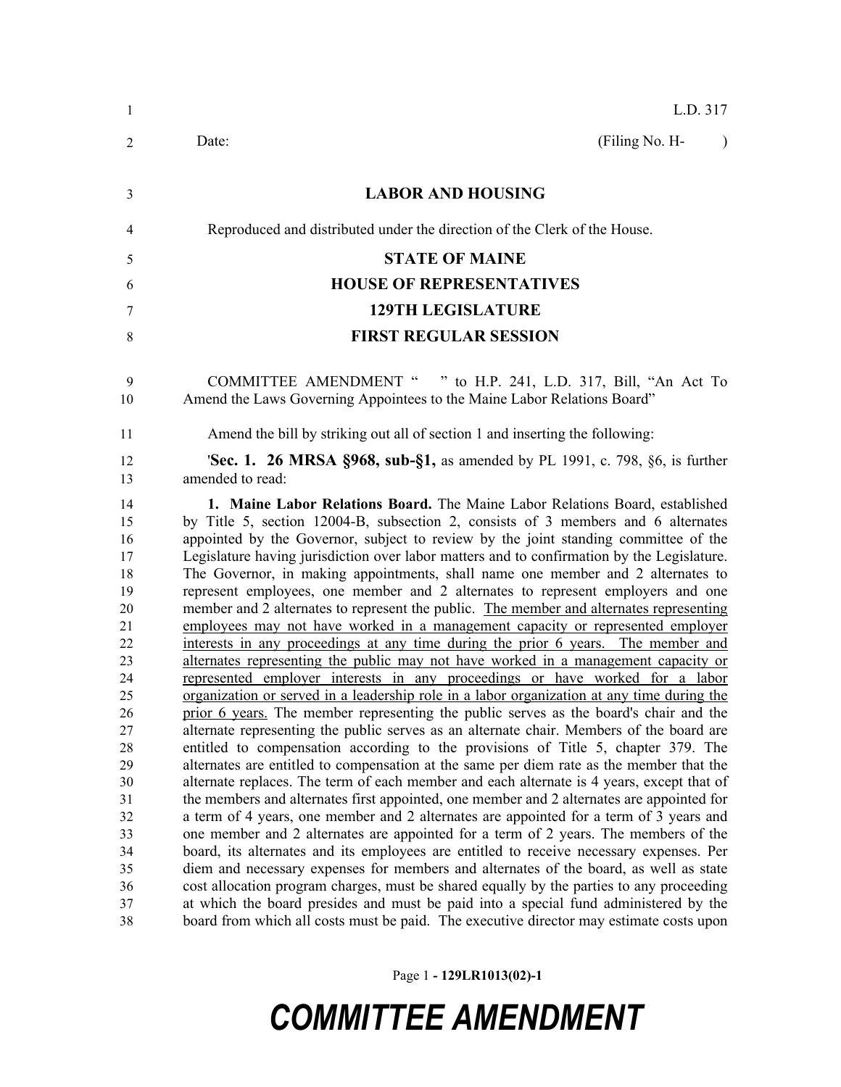| 1                                                                                                                                                  |
|----------------------------------------------------------------------------------------------------------------------------------------------------|
| 2                                                                                                                                                  |
| 3                                                                                                                                                  |
| 4                                                                                                                                                  |
| 5                                                                                                                                                  |
| 6                                                                                                                                                  |
|                                                                                                                                                    |
| 7                                                                                                                                                  |
| 8                                                                                                                                                  |
| 9<br>10                                                                                                                                            |
| 11                                                                                                                                                 |
| 12<br>13                                                                                                                                           |
| 14<br>15<br>16<br>17<br>18<br>19<br>20<br>21<br>22<br>23<br>24<br>25<br>26<br>27<br>28<br>29<br>30<br>31<br>32<br>33<br>34<br>35<br>36<br>37<br>38 |
|                                                                                                                                                    |

Page 1 **- 129LR1013(02)-1**

## *COMMITTEE AMENDMENT*